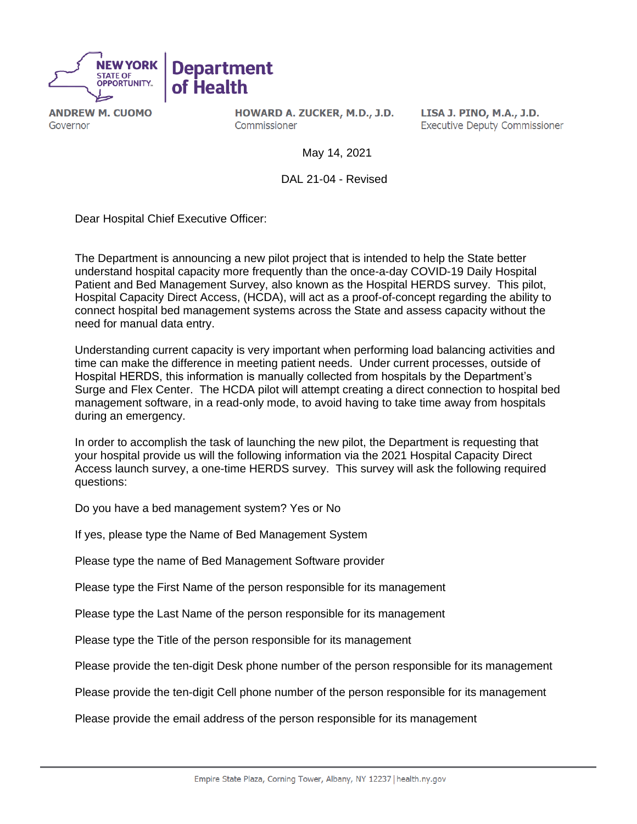

**ANDREW M. CUOMO** Governor

HOWARD A. ZUCKER, M.D., J.D. Commissioner

LISA J. PINO, M.A., J.D. **Executive Deputy Commissioner** 

May 14, 2021

DAL 21-04 - Revised

Dear Hospital Chief Executive Officer:

The Department is announcing a new pilot project that is intended to help the State better understand hospital capacity more frequently than the once-a-day COVID-19 Daily Hospital Patient and Bed Management Survey, also known as the Hospital HERDS survey. This pilot, Hospital Capacity Direct Access, (HCDA), will act as a proof-of-concept regarding the ability to connect hospital bed management systems across the State and assess capacity without the need for manual data entry.

Understanding current capacity is very important when performing load balancing activities and time can make the difference in meeting patient needs. Under current processes, outside of Hospital HERDS, this information is manually collected from hospitals by the Department's Surge and Flex Center. The HCDA pilot will attempt creating a direct connection to hospital bed management software, in a read-only mode, to avoid having to take time away from hospitals during an emergency.

In order to accomplish the task of launching the new pilot, the Department is requesting that your hospital provide us will the following information via the 2021 Hospital Capacity Direct Access launch survey, a one-time HERDS survey. This survey will ask the following required questions:

Do you have a bed management system? Yes or No

If yes, please type the Name of Bed Management System

Please type the name of Bed Management Software provider

Please type the First Name of the person responsible for its management

Please type the Last Name of the person responsible for its management

Please type the Title of the person responsible for its management

Please provide the ten-digit Desk phone number of the person responsible for its management

Please provide the ten-digit Cell phone number of the person responsible for its management

Please provide the email address of the person responsible for its management